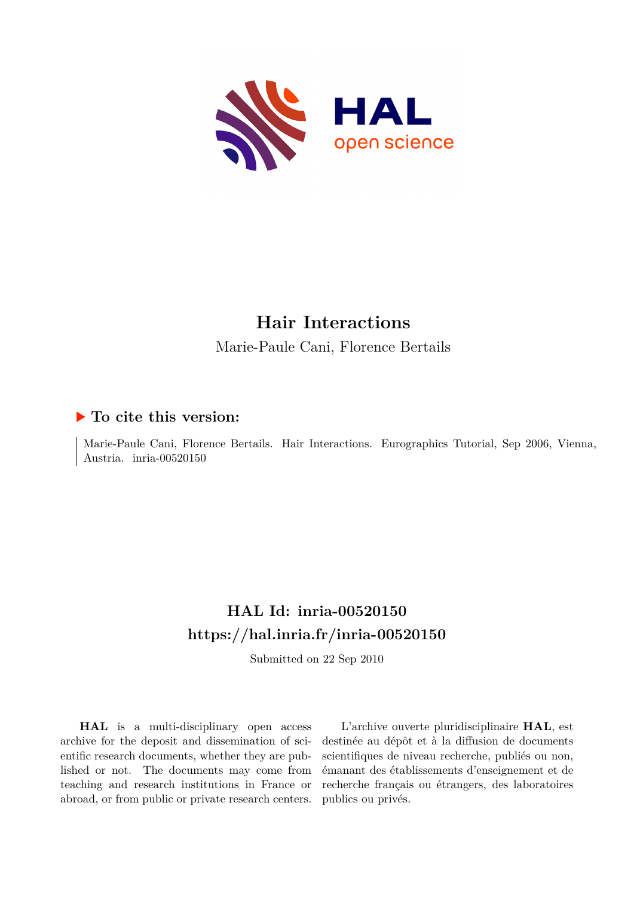

# **Hair Interactions**

Marie-Paule Cani, Florence Bertails

# **To cite this version:**

Marie-Paule Cani, Florence Bertails. Hair Interactions. Eurographics Tutorial, Sep 2006, Vienna, Austria. inria-00520150

# **HAL Id: inria-00520150 <https://hal.inria.fr/inria-00520150>**

Submitted on 22 Sep 2010

**HAL** is a multi-disciplinary open access archive for the deposit and dissemination of scientific research documents, whether they are published or not. The documents may come from teaching and research institutions in France or abroad, or from public or private research centers.

L'archive ouverte pluridisciplinaire **HAL**, est destinée au dépôt et à la diffusion de documents scientifiques de niveau recherche, publiés ou non, émanant des établissements d'enseignement et de recherche français ou étrangers, des laboratoires publics ou privés.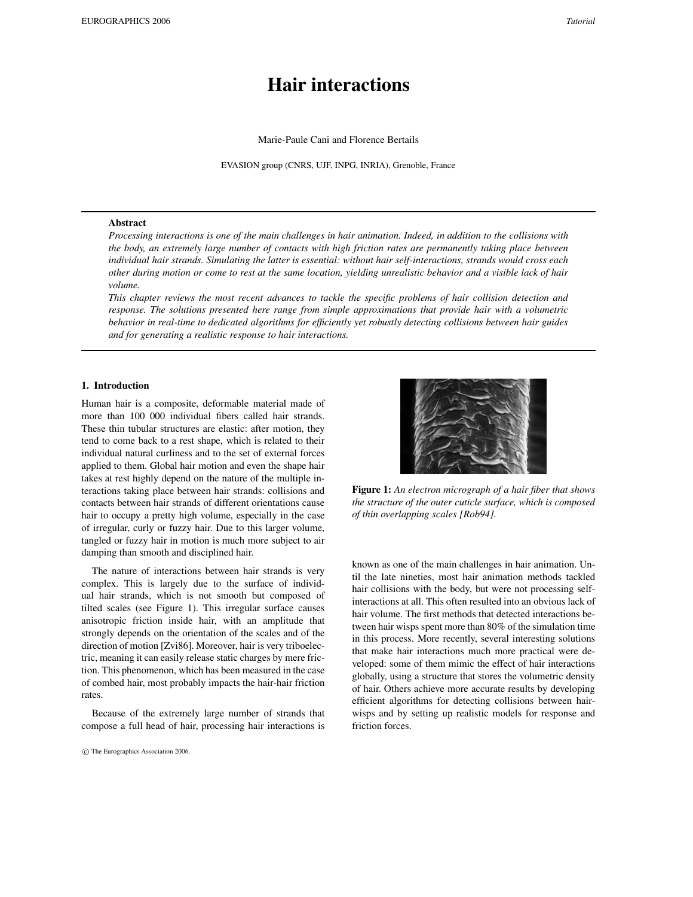# **Hair interactions**

Marie-Paule Cani and Florence Bertails

EVASION group (CNRS, UJF, INPG, INRIA), Grenoble, France

#### **Abstract**

Processing interactions is one of the main challenges in hair animation. Indeed, in addition to the collisions with the body, an extremely large number of contacts with high friction rates are permanently taking place between *individual hair strands. Simulating the latter is essential: without hair self-interactions, strands would cross each* other during motion or come to rest at the same location, yielding unrealistic behavior and a visible lack of hair *volume.*

This chapter reviews the most recent advances to tackle the specific problems of hair collision detection and *response. The solutions presented here range from simple approximations that provide hair with a volumetric behavior in real-time to dedicated algorithms for efficiently yet robustly detecting collisions between hair guides and for generating a realistic response to hair interactions.*

## **1. Introduction**

Human hair is a composite, deformable material made of more than 100 000 individual fibers called hair strands. These thin tubular structures are elastic: after motion, they tend to come back to a rest shape, which is related to their individual natural curliness and to the set of external forces applied to them. Global hair motion and even the shape hair takes at rest highly depend on the nature of the multiple interactions taking place between hair strands: collisions and contacts between hair strands of different orientations cause hair to occupy a pretty high volume, especially in the case of irregular, curly or fuzzy hair. Due to this larger volume, tangled or fuzzy hair in motion is much more subject to air damping than smooth and disciplined hair.

The nature of interactions between hair strands is very complex. This is largely due to the surface of individual hair strands, which is not smooth but composed of tilted scales (see Figure [1\)](#page-1-0). This irregular surface causes anisotropic friction inside hair, with an amplitude that strongly depends on the orientation of the scales and of the direction of motion [\[Zvi86\]](#page-8-0). Moreover, hair is very triboelectric, meaning it can easily release static charges by mere friction. This phenomenon, which has been measured in the case of combed hair, most probably impacts the hair-hair friction rates.

Because of the extremely large number of strands that compose a full head of hair, processing hair interactions is



**Figure 1:** *An electron micrograph of a hair fiber that shows the structure of the outer cuticle surface, which is composed of thin overlapping scales [\[Rob94\]](#page-8-1).*

<span id="page-1-0"></span>known as one of the main challenges in hair animation. Until the late nineties, most hair animation methods tackled hair collisions with the body, but were not processing selfinteractions at all. This often resulted into an obvious lack of hair volume. The first methods that detected interactions between hair wisps spent more than 80% of the simulation time in this process. More recently, several interesting solutions that make hair interactions much more practical were developed: some of them mimic the effect of hair interactions globally, using a structure that stores the volumetric density of hair. Others achieve more accurate results by developing efficient algorithms for detecting collisions between hairwisps and by setting up realistic models for response and friction forces.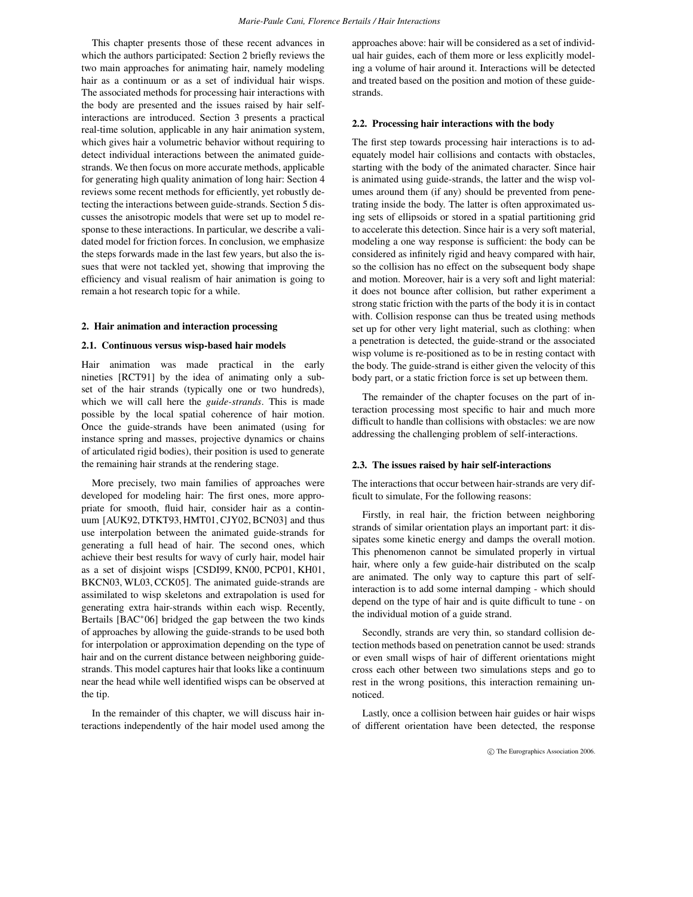This chapter presents those of these recent advances in which the authors participated: Section [2](#page-2-0) briefly reviews the two main approaches for animating hair, namely modeling hair as a continuum or as a set of individual hair wisps. The associated methods for processing hair interactions with the body are presented and the issues raised by hair selfinteractions are introduced. Section [3](#page-3-0) presents a practical real-time solution, applicable in any hair animation system, which gives hair a volumetric behavior without requiring to detect individual interactions between the animated guidestrands. We then focus on more accurate methods, applicable for generating high quality animation of long hair: Section [4](#page-4-0) reviews some recent methods for efficiently, yet robustly detecting the interactions between guide-strands. Section [5](#page-5-0) discusses the anisotropic models that were set up to model response to these interactions. In particular, we describe a validated model for friction forces. In conclusion, we emphasize the steps forwards made in the last few years, but also the issues that were not tackled yet, showing that improving the efficiency and visual realism of hair animation is going to remain a hot research topic for a while.

#### <span id="page-2-0"></span>**2. Hair animation and interaction processing**

#### **2.1. Continuous versus wisp-based hair models**

Hair animation was made practical in the early nineties [\[RCT91\]](#page-8-2) by the idea of animating only a subset of the hair strands (typically one or two hundreds), which we will call here the *guide-strands*. This is made possible by the local spatial coherence of hair motion. Once the guide-strands have been animated (using for instance spring and masses, projective dynamics or chains of articulated rigid bodies), their position is used to generate the remaining hair strands at the rendering stage.

More precisely, two main families of approaches were developed for modeling hair: The first ones, more appropriate for smooth, fluid hair, consider hair as a contin-uum [\[AUK92,](#page-7-0) [DTKT93,](#page-7-1) [HMT01,](#page-8-3) [CJY02,](#page-7-2) [BCN03\]](#page-7-3) and thus use interpolation between the animated guide-strands for generating a full head of hair. The second ones, which achieve their best results for wavy of curly hair, model hair as a set of disjoint wisps [\[CSDI99,](#page-7-4) [KN00,](#page-8-4) [PCP01,](#page-8-5) [KH01,](#page-8-6) [BKCN03,](#page-7-5) [WL03,](#page-8-7) [CCK05\]](#page-7-6). The animated guide-strands are assimilated to wisp skeletons and extrapolation is used for generating extra hair-strands within each wisp. Recently, Bertails [\[BAC](#page-7-7)<sup>\*</sup>06] bridged the gap between the two kinds of approaches by allowing the guide-strands to be used both for interpolation or approximation depending on the type of hair and on the current distance between neighboring guidestrands. This model captures hair that looks like a continuum near the head while well identified wisps can be observed at the tip.

In the remainder of this chapter, we will discuss hair interactions independently of the hair model used among the approaches above: hair will be considered as a set of individual hair guides, each of them more or less explicitly modeling a volume of hair around it. Interactions will be detected and treated based on the position and motion of these guidestrands.

#### **2.2. Processing hair interactions with the body**

The first step towards processing hair interactions is to adequately model hair collisions and contacts with obstacles, starting with the body of the animated character. Since hair is animated using guide-strands, the latter and the wisp volumes around them (if any) should be prevented from penetrating inside the body. The latter is often approximated using sets of ellipsoids or stored in a spatial partitioning grid to accelerate this detection. Since hair is a very soft material, modeling a one way response is sufficient: the body can be considered as infinitely rigid and heavy compared with hair, so the collision has no effect on the subsequent body shape and motion. Moreover, hair is a very soft and light material: it does not bounce after collision, but rather experiment a strong static friction with the parts of the body it is in contact with. Collision response can thus be treated using methods set up for other very light material, such as clothing: when a penetration is detected, the guide-strand or the associated wisp volume is re-positioned as to be in resting contact with the body. The guide-strand is either given the velocity of this body part, or a static friction force is set up between them.

The remainder of the chapter focuses on the part of interaction processing most specific to hair and much more difficult to handle than collisions with obstacles: we are now addressing the challenging problem of self-interactions.

#### **2.3. The issues raised by hair self-interactions**

The interactions that occur between hair-strands are very difficult to simulate, For the following reasons:

Firstly, in real hair, the friction between neighboring strands of similar orientation plays an important part: it dissipates some kinetic energy and damps the overall motion. This phenomenon cannot be simulated properly in virtual hair, where only a few guide-hair distributed on the scalp are animated. The only way to capture this part of selfinteraction is to add some internal damping - which should depend on the type of hair and is quite difficult to tune - on the individual motion of a guide strand.

Secondly, strands are very thin, so standard collision detection methods based on penetration cannot be used: strands or even small wisps of hair of different orientations might cross each other between two simulations steps and go to rest in the wrong positions, this interaction remaining unnoticed.

Lastly, once a collision between hair guides or hair wisps of different orientation have been detected, the response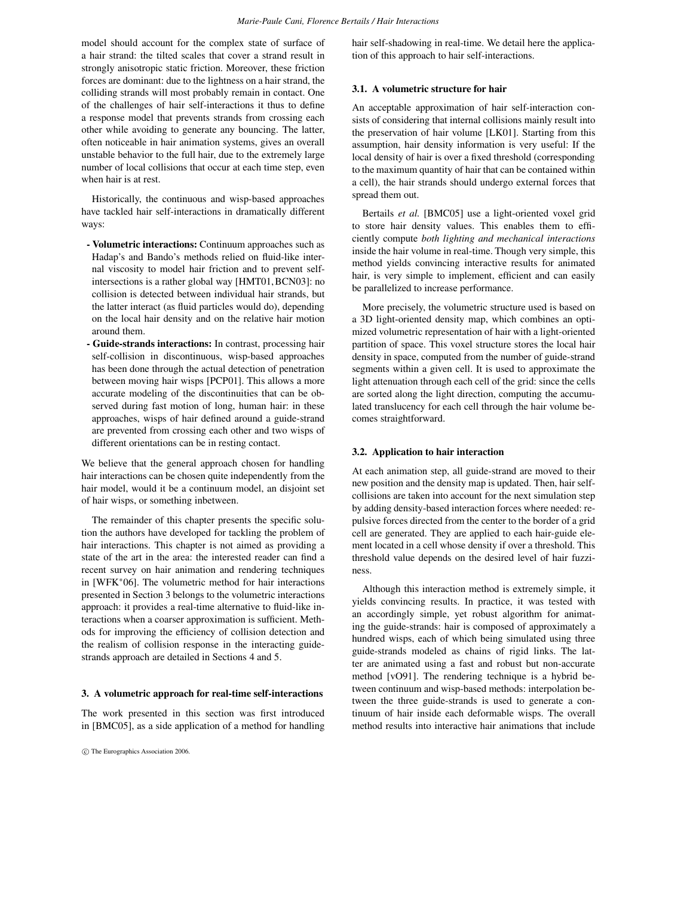model should account for the complex state of surface of a hair strand: the tilted scales that cover a strand result in strongly anisotropic static friction. Moreover, these friction forces are dominant: due to the lightness on a hair strand, the colliding strands will most probably remain in contact. One of the challenges of hair self-interactions it thus to define a response model that prevents strands from crossing each other while avoiding to generate any bouncing. The latter, often noticeable in hair animation systems, gives an overall unstable behavior to the full hair, due to the extremely large number of local collisions that occur at each time step, even when hair is at rest.

Historically, the continuous and wisp-based approaches have tackled hair self-interactions in dramatically different ways:

- **- Volumetric interactions:** Continuum approaches such as Hadap's and Bando's methods relied on fluid-like internal viscosity to model hair friction and to prevent self-intersections is a rather global way [\[HMT01,](#page-8-3) [BCN03\]](#page-7-3): no collision is detected between individual hair strands, but the latter interact (as fluid particles would do), depending on the local hair density and on the relative hair motion around them.
- **- Guide-strands interactions:** In contrast, processing hair self-collision in discontinuous, wisp-based approaches has been done through the actual detection of penetration between moving hair wisps [\[PCP01\]](#page-8-5). This allows a more accurate modeling of the discontinuities that can be observed during fast motion of long, human hair: in these approaches, wisps of hair defined around a guide-strand are prevented from crossing each other and two wisps of different orientations can be in resting contact.

We believe that the general approach chosen for handling hair interactions can be chosen quite independently from the hair model, would it be a continuum model, an disjoint set of hair wisps, or something inbetween.

The remainder of this chapter presents the specific solution the authors have developed for tackling the problem of hair interactions. This chapter is not aimed as providing a state of the art in the area: the interested reader can find a recent survey on hair animation and rendering techniques in [\[WFK](#page-8-8)∗06]. The volumetric method for hair interactions presented in Section [3](#page-3-0) belongs to the volumetric interactions approach: it provides a real-time alternative to fluid-like interactions when a coarser approximation is sufficient. Methods for improving the efficiency of collision detection and the realism of collision response in the interacting guidestrands approach are detailed in Sections [4](#page-4-0) and [5.](#page-5-0)

#### <span id="page-3-0"></span>**3. A volumetric approach for real-time self-interactions**

The work presented in this section was first introduced in [\[BMC05\]](#page-7-8), as a side application of a method for handling

c The Eurographics Association 2006.

hair self-shadowing in real-time. We detail here the application of this approach to hair self-interactions.

#### **3.1. A volumetric structure for hair**

An acceptable approximation of hair self-interaction consists of considering that internal collisions mainly result into the preservation of hair volume [\[LK01\]](#page-8-9). Starting from this assumption, hair density information is very useful: If the local density of hair is over a fixed threshold (corresponding to the maximum quantity of hair that can be contained within a cell), the hair strands should undergo external forces that spread them out.

Bertails *et al.* [\[BMC05\]](#page-7-8) use a light-oriented voxel grid to store hair density values. This enables them to efficiently compute *both lighting and mechanical interactions* inside the hair volume in real-time. Though very simple, this method yields convincing interactive results for animated hair, is very simple to implement, efficient and can easily be parallelized to increase performance.

More precisely, the volumetric structure used is based on a 3D light-oriented density map, which combines an optimized volumetric representation of hair with a light-oriented partition of space. This voxel structure stores the local hair density in space, computed from the number of guide-strand segments within a given cell. It is used to approximate the light attenuation through each cell of the grid: since the cells are sorted along the light direction, computing the accumulated translucency for each cell through the hair volume becomes straightforward.

#### **3.2. Application to hair interaction**

At each animation step, all guide-strand are moved to their new position and the density map is updated. Then, hair selfcollisions are taken into account for the next simulation step by adding density-based interaction forces where needed: repulsive forces directed from the center to the border of a grid cell are generated. They are applied to each hair-guide element located in a cell whose density if over a threshold. This threshold value depends on the desired level of hair fuzziness.

Although this interaction method is extremely simple, it yields convincing results. In practice, it was tested with an accordingly simple, yet robust algorithm for animating the guide-strands: hair is composed of approximately a hundred wisps, each of which being simulated using three guide-strands modeled as chains of rigid links. The latter are animated using a fast and robust but non-accurate method [\[vO91\]](#page-8-10). The rendering technique is a hybrid between continuum and wisp-based methods: interpolation between the three guide-strands is used to generate a continuum of hair inside each deformable wisps. The overall method results into interactive hair animations that include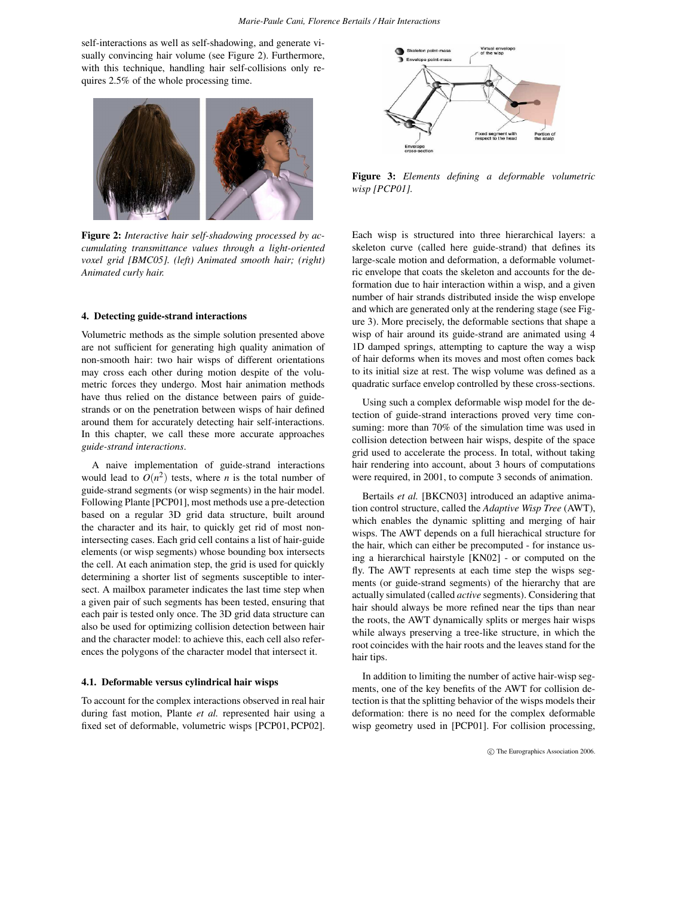self-interactions as well as self-shadowing, and generate visually convincing hair volume (see Figure [2\)](#page-4-1). Furthermore, with this technique, handling hair self-collisions only requires 2.5% of the whole processing time.



**Figure 2:** *Interactive hair self-shadowing processed by accumulating transmittance values through a light-oriented voxel grid [\[BMC05\]](#page-7-8). (left) Animated smooth hair; (right) Animated curly hair.*

### <span id="page-4-1"></span><span id="page-4-0"></span>**4. Detecting guide-strand interactions**

Volumetric methods as the simple solution presented above are not sufficient for generating high quality animation of non-smooth hair: two hair wisps of different orientations may cross each other during motion despite of the volumetric forces they undergo. Most hair animation methods have thus relied on the distance between pairs of guidestrands or on the penetration between wisps of hair defined around them for accurately detecting hair self-interactions. In this chapter, we call these more accurate approaches *guide-strand interactions*.

A naive implementation of guide-strand interactions would lead to  $O(n^2)$  tests, where *n* is the total number of guide-strand segments (or wisp segments) in the hair model. Following Plante [\[PCP01\]](#page-8-5), most methods use a pre-detection based on a regular 3D grid data structure, built around the character and its hair, to quickly get rid of most nonintersecting cases. Each grid cell contains a list of hair-guide elements (or wisp segments) whose bounding box intersects the cell. At each animation step, the grid is used for quickly determining a shorter list of segments susceptible to intersect. A mailbox parameter indicates the last time step when a given pair of such segments has been tested, ensuring that each pair is tested only once. The 3D grid data structure can also be used for optimizing collision detection between hair and the character model: to achieve this, each cell also references the polygons of the character model that intersect it.

#### **4.1. Deformable versus cylindrical hair wisps**

To account for the complex interactions observed in real hair during fast motion, Plante *et al.* represented hair using a fixed set of deformable, volumetric wisps [\[PCP01,](#page-8-5) [PCP02\]](#page-8-11).



<span id="page-4-2"></span>**Figure 3:** *Elements defining a deformable volumetric wisp [\[PCP01\]](#page-8-5).*

Each wisp is structured into three hierarchical layers: a skeleton curve (called here guide-strand) that defines its large-scale motion and deformation, a deformable volumetric envelope that coats the skeleton and accounts for the deformation due to hair interaction within a wisp, and a given number of hair strands distributed inside the wisp envelope and which are generated only at the rendering stage (see Figure [3\)](#page-4-2). More precisely, the deformable sections that shape a wisp of hair around its guide-strand are animated using 4 1D damped springs, attempting to capture the way a wisp of hair deforms when its moves and most often comes back to its initial size at rest. The wisp volume was defined as a quadratic surface envelop controlled by these cross-sections.

Using such a complex deformable wisp model for the detection of guide-strand interactions proved very time consuming: more than 70% of the simulation time was used in collision detection between hair wisps, despite of the space grid used to accelerate the process. In total, without taking hair rendering into account, about 3 hours of computations were required, in 2001, to compute 3 seconds of animation.

Bertails *et al.* [\[BKCN03\]](#page-7-5) introduced an adaptive animation control structure, called the *Adaptive Wisp Tree* (AWT), which enables the dynamic splitting and merging of hair wisps. The AWT depends on a full hierachical structure for the hair, which can either be precomputed - for instance using a hierarchical hairstyle [\[KN02\]](#page-8-12) - or computed on the fly. The AWT represents at each time step the wisps segments (or guide-strand segments) of the hierarchy that are actually simulated (called *active* segments). Considering that hair should always be more refined near the tips than near the roots, the AWT dynamically splits or merges hair wisps while always preserving a tree-like structure, in which the root coincides with the hair roots and the leaves stand for the hair tips.

In addition to limiting the number of active hair-wisp segments, one of the key benefits of the AWT for collision detection is that the splitting behavior of the wisps models their deformation: there is no need for the complex deformable wisp geometry used in [\[PCP01\]](#page-8-5). For collision processing,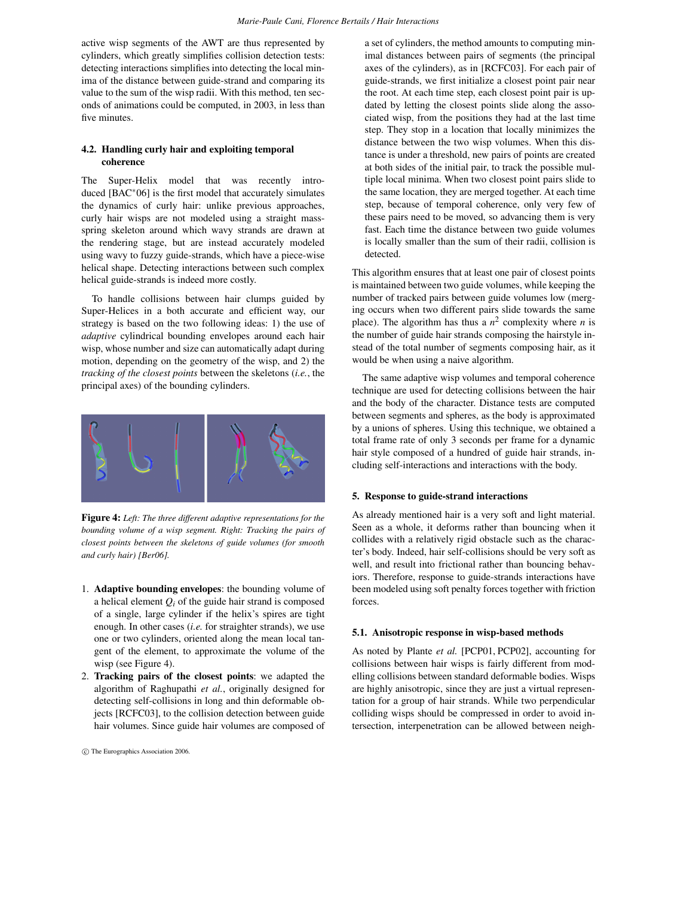active wisp segments of the AWT are thus represented by cylinders, which greatly simplifies collision detection tests: detecting interactions simplifies into detecting the local minima of the distance between guide-strand and comparing its value to the sum of the wisp radii. With this method, ten seconds of animations could be computed, in 2003, in less than five minutes.

## **4.2. Handling curly hair and exploiting temporal coherence**

The Super-Helix model that was recently intro-duced [\[BAC](#page-7-7)<sup>\*</sup>06] is the first model that accurately simulates the dynamics of curly hair: unlike previous approaches, curly hair wisps are not modeled using a straight massspring skeleton around which wavy strands are drawn at the rendering stage, but are instead accurately modeled using wavy to fuzzy guide-strands, which have a piece-wise helical shape. Detecting interactions between such complex helical guide-strands is indeed more costly.

To handle collisions between hair clumps guided by Super-Helices in a both accurate and efficient way, our strategy is based on the two following ideas: 1) the use of *adaptive* cylindrical bounding envelopes around each hair wisp, whose number and size can automatically adapt during motion, depending on the geometry of the wisp, and 2) the *tracking of the closest points* between the skeletons (*i.e.*, the principal axes) of the bounding cylinders.



<span id="page-5-1"></span>**Figure 4:** *Left: The three different adaptive representations for the bounding volume of a wisp segment. Right: Tracking the pairs of closest points between the skeletons of guide volumes (for smooth and curly hair) [\[Ber06\]](#page-7-9).*

- 1. **Adaptive bounding envelopes**: the bounding volume of a helical element  $Q_i$  of the guide hair strand is composed of a single, large cylinder if the helix's spires are tight enough. In other cases (*i.e.* for straighter strands), we use one or two cylinders, oriented along the mean local tangent of the element, to approximate the volume of the wisp (see Figure [4\)](#page-5-1).
- 2. **Tracking pairs of the closest points**: we adapted the algorithm of Raghupathi *et al.*, originally designed for detecting self-collisions in long and thin deformable objects [\[RCFC03\]](#page-8-13), to the collision detection between guide hair volumes. Since guide hair volumes are composed of

c The Eurographics Association 2006.

a set of cylinders, the method amounts to computing minimal distances between pairs of segments (the principal axes of the cylinders), as in [\[RCFC03\]](#page-8-13). For each pair of guide-strands, we first initialize a closest point pair near the root. At each time step, each closest point pair is updated by letting the closest points slide along the associated wisp, from the positions they had at the last time step. They stop in a location that locally minimizes the distance between the two wisp volumes. When this distance is under a threshold, new pairs of points are created at both sides of the initial pair, to track the possible multiple local minima. When two closest point pairs slide to the same location, they are merged together. At each time step, because of temporal coherence, only very few of these pairs need to be moved, so advancing them is very fast. Each time the distance between two guide volumes is locally smaller than the sum of their radii, collision is detected.

This algorithm ensures that at least one pair of closest points is maintained between two guide volumes, while keeping the number of tracked pairs between guide volumes low (merging occurs when two different pairs slide towards the same place). The algorithm has thus a  $n^2$  complexity where *n* is the number of guide hair strands composing the hairstyle instead of the total number of segments composing hair, as it would be when using a naive algorithm.

The same adaptive wisp volumes and temporal coherence technique are used for detecting collisions between the hair and the body of the character. Distance tests are computed between segments and spheres, as the body is approximated by a unions of spheres. Using this technique, we obtained a total frame rate of only 3 seconds per frame for a dynamic hair style composed of a hundred of guide hair strands, including self-interactions and interactions with the body.

#### <span id="page-5-0"></span>**5. Response to guide-strand interactions**

As already mentioned hair is a very soft and light material. Seen as a whole, it deforms rather than bouncing when it collides with a relatively rigid obstacle such as the character's body. Indeed, hair self-collisions should be very soft as well, and result into frictional rather than bouncing behaviors. Therefore, response to guide-strands interactions have been modeled using soft penalty forces together with friction forces.

#### **5.1. Anisotropic response in wisp-based methods**

As noted by Plante *et al.* [\[PCP01,](#page-8-5) [PCP02\]](#page-8-11), accounting for collisions between hair wisps is fairly different from modelling collisions between standard deformable bodies. Wisps are highly anisotropic, since they are just a virtual representation for a group of hair strands. While two perpendicular colliding wisps should be compressed in order to avoid intersection, interpenetration can be allowed between neigh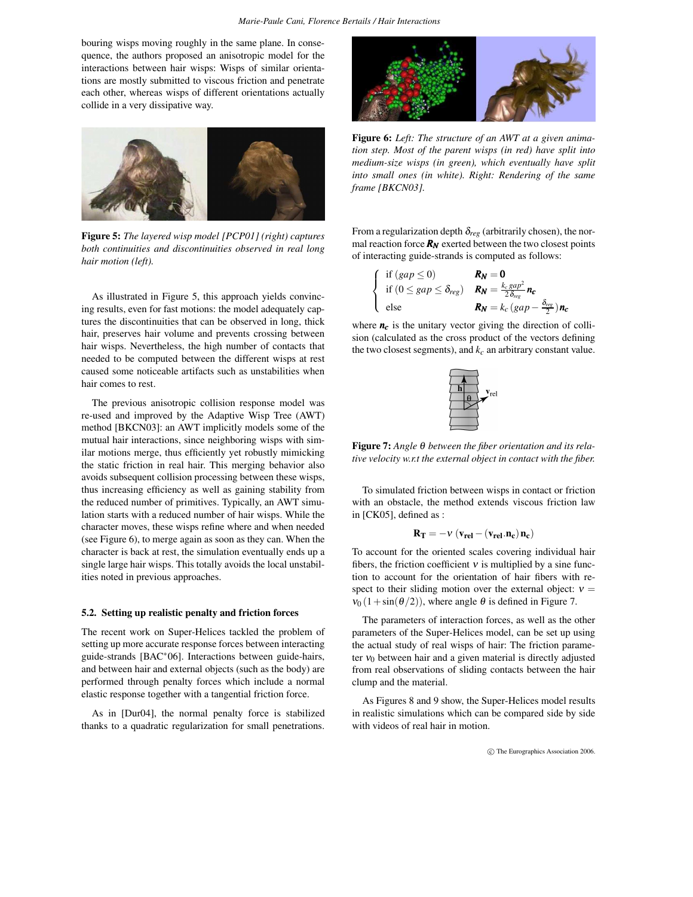bouring wisps moving roughly in the same plane. In consequence, the authors proposed an anisotropic model for the interactions between hair wisps: Wisps of similar orientations are mostly submitted to viscous friction and penetrate each other, whereas wisps of different orientations actually collide in a very dissipative way.



**Figure 5:** *The layered wisp model [\[PCP01\]](#page-8-5) (right) captures both continuities and discontinuities observed in real long hair motion (left).*

<span id="page-6-0"></span>As illustrated in Figure [5,](#page-6-0) this approach yields convincing results, even for fast motions: the model adequately captures the discontinuities that can be observed in long, thick hair, preserves hair volume and prevents crossing between hair wisps. Nevertheless, the high number of contacts that needed to be computed between the different wisps at rest caused some noticeable artifacts such as unstabilities when hair comes to rest.

The previous anisotropic collision response model was re-used and improved by the Adaptive Wisp Tree (AWT) method [\[BKCN03\]](#page-7-5): an AWT implicitly models some of the mutual hair interactions, since neighboring wisps with similar motions merge, thus efficiently yet robustly mimicking the static friction in real hair. This merging behavior also avoids subsequent collision processing between these wisps, thus increasing efficiency as well as gaining stability from the reduced number of primitives. Typically, an AWT simulation starts with a reduced number of hair wisps. While the character moves, these wisps refine where and when needed (see Figure [6\)](#page-6-1), to merge again as soon as they can. When the character is back at rest, the simulation eventually ends up a single large hair wisps. This totally avoids the local unstabilities noted in previous approaches.

#### **5.2. Setting up realistic penalty and friction forces**

The recent work on Super-Helices tackled the problem of setting up more accurate response forces between interacting guide-strands [\[BAC](#page-7-7)\*06]. Interactions between guide-hairs, and between hair and external objects (such as the body) are performed through penalty forces which include a normal elastic response together with a tangential friction force.

As in [\[Dur04\]](#page-7-10), the normal penalty force is stabilized thanks to a quadratic regularization for small penetrations.



<span id="page-6-1"></span>**Figure 6:** *Left: The structure of an AWT at a given animation step. Most of the parent wisps (in red) have split into medium-size wisps (in green), which eventually have split into small ones (in white). Right: Rendering of the same frame [\[BKCN03\]](#page-7-5).*

From a regularization depth  $\delta_{reg}$  (arbitrarily chosen), the normal reaction force *RN* exerted between the two closest points of interacting guide-strands is computed as follows:

$$
\begin{cases}\n\text{if } (gap \le 0) & \mathbf{R_N} = \mathbf{0} \\
\text{if } (0 \le gap \le \delta_{reg}) & \mathbf{R_N} = \frac{k_c \, gap^2}{2 \, \delta_{reg}} \, \mathbf{n_c} \\
\text{else} & \mathbf{R_N} = k_c \, (gap - \frac{\delta_{reg}}{2}) \, \mathbf{n_c}\n\end{cases}
$$

where  $n_c$  is the unitary vector giving the direction of collision (calculated as the cross product of the vectors defining the two closest segments), and *kc* an arbitrary constant value.



<span id="page-6-2"></span>**Figure 7:** *Angle* <sup>θ</sup> *between the fiber orientation and its relative velocity w.r.t the external object in contact with the fiber.*

To simulated friction between wisps in contact or friction with an obstacle, the method extends viscous friction law in [\[CK05\]](#page-7-11), defined as :

$$
R_T = -\nu \left(v_{rel} - (v_{rel}.n_c)n_c\right)
$$

To account for the oriented scales covering individual hair fibers, the friction coefficient  $v$  is multiplied by a sine function to account for the orientation of hair fibers with respect to their sliding motion over the external object:  $v =$  $v_0$  (1+sin( $\theta$ /2)), where angle  $\theta$  is defined in Figure [7.](#page-6-2)

The parameters of interaction forces, as well as the other parameters of the Super-Helices model, can be set up using the actual study of real wisps of hair: The friction parameter  $v_0$  between hair and a given material is directly adjusted from real observations of sliding contacts between the hair clump and the material.

As Figures [8](#page-7-12) and [9](#page-7-13) show, the Super-Helices model results in realistic simulations which can be compared side by side with videos of real hair in motion.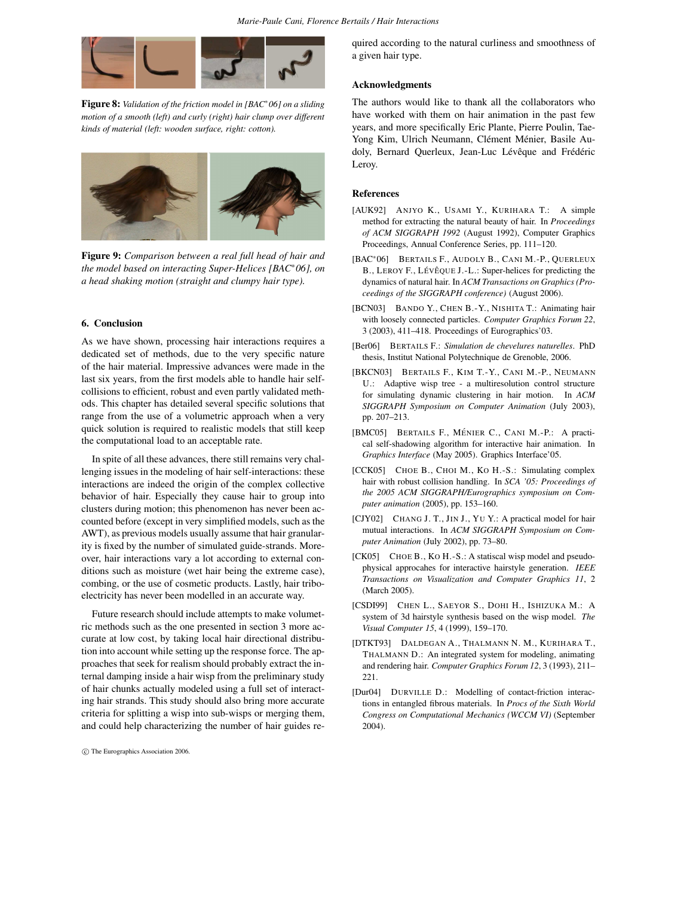

**Figure 8:** *Validation of the friction model in [\[BAC](#page-7-7)* <sup>∗</sup>*06] on a sliding motion of a smooth (left) and curly (right) hair clump over different kinds of material (left: wooden surface, right: cotton).*

<span id="page-7-12"></span>

**Figure 9:** *Comparison between a real full head of hair and the model based on interacting Super-Helices [\[BAC](#page-7-7)* <sup>∗</sup>*06], on a head shaking motion (straight and clumpy hair type).*

### <span id="page-7-13"></span>**6. Conclusion**

As we have shown, processing hair interactions requires a dedicated set of methods, due to the very specific nature of the hair material. Impressive advances were made in the last six years, from the first models able to handle hair selfcollisions to efficient, robust and even partly validated methods. This chapter has detailed several specific solutions that range from the use of a volumetric approach when a very quick solution is required to realistic models that still keep the computational load to an acceptable rate.

In spite of all these advances, there still remains very challenging issues in the modeling of hair self-interactions: these interactions are indeed the origin of the complex collective behavior of hair. Especially they cause hair to group into clusters during motion; this phenomenon has never been accounted before (except in very simplified models, such as the AWT), as previous models usually assume that hair granularity is fixed by the number of simulated guide-strands. Moreover, hair interactions vary a lot according to external conditions such as moisture (wet hair being the extreme case), combing, or the use of cosmetic products. Lastly, hair triboelectricity has never been modelled in an accurate way.

Future research should include attempts to make volumetric methods such as the one presented in section [3](#page-3-0) more accurate at low cost, by taking local hair directional distribution into account while setting up the response force. The approaches that seek for realism should probably extract the internal damping inside a hair wisp from the preliminary study of hair chunks actually modeled using a full set of interacting hair strands. This study should also bring more accurate criteria for splitting a wisp into sub-wisps or merging them, and could help characterizing the number of hair guides re-

c The Eurographics Association 2006.

quired according to the natural curliness and smoothness of a given hair type.

#### **Acknowledgments**

The authors would like to thank all the collaborators who have worked with them on hair animation in the past few years, and more specifically Eric Plante, Pierre Poulin, Tae-Yong Kim, Ulrich Neumann, Clément Ménier, Basile Audoly, Bernard Querleux, Jean-Luc Lévêque and Frédéric Leroy.

#### **References**

- <span id="page-7-0"></span>[AUK92] ANJYO K., USAMI Y., KURIHARA T.: A simple method for extracting the natural beauty of hair. In *Proceedings of ACM SIGGRAPH 1992* (August 1992), Computer Graphics Proceedings, Annual Conference Series, pp. 111–120.
- <span id="page-7-7"></span>[BAC<sup>\*</sup>06] BERTAILS F., AUDOLY B., CANI M.-P., QUERLEUX B., LEROY F., LÉVÊQUE J.-L.: Super-helices for predicting the dynamics of natural hair. In *ACM Transactions on Graphics (Proceedings of the SIGGRAPH conference)* (August 2006).
- <span id="page-7-3"></span>[BCN03] BANDO Y., CHEN B.-Y., NISHITA T.: Animating hair with loosely connected particles. *Computer Graphics Forum 22*, 3 (2003), 411–418. Proceedings of Eurographics'03.
- <span id="page-7-9"></span>[Ber06] BERTAILS F.: *Simulation de chevelures naturelles*. PhD thesis, Institut National Polytechnique de Grenoble, 2006.
- <span id="page-7-5"></span>[BKCN03] BERTAILS F., KIM T.-Y., CANI M.-P., NEUMANN U.: Adaptive wisp tree - a multiresolution control structure for simulating dynamic clustering in hair motion. In *ACM SIGGRAPH Symposium on Computer Animation* (July 2003), pp. 207–213.
- <span id="page-7-8"></span>[BMC05] BERTAILS F., MÉNIER C., CANI M.-P.: A practical self-shadowing algorithm for interactive hair animation. In *Graphics Interface* (May 2005). Graphics Interface'05.
- <span id="page-7-6"></span>[CCK05] CHOE B., CHOI M., KO H.-S.: Simulating complex hair with robust collision handling. In *SCA '05: Proceedings of the 2005 ACM SIGGRAPH/Eurographics symposium on Computer animation* (2005), pp. 153–160.
- <span id="page-7-2"></span>[CJY02] CHANG J. T., JIN J., YU Y.: A practical model for hair mutual interactions. In *ACM SIGGRAPH Symposium on Computer Animation* (July 2002), pp. 73–80.
- <span id="page-7-11"></span>[CK05] CHOE B., KO H.-S.: A statiscal wisp model and pseudophysical approcahes for interactive hairstyle generation. *IEEE Transactions on Visualization and Computer Graphics 11*, 2 (March 2005).
- <span id="page-7-4"></span>[CSDI99] CHEN L., SAEYOR S., DOHI H., ISHIZUKA M.: A system of 3d hairstyle synthesis based on the wisp model. *The Visual Computer 15*, 4 (1999), 159–170.
- <span id="page-7-1"></span>[DTKT93] DALDEGAN A., THALMANN N. M., KURIHARA T., THALMANN D.: An integrated system for modeling, animating and rendering hair. *Computer Graphics Forum 12*, 3 (1993), 211– 221.
- <span id="page-7-10"></span>[Dur04] DURVILLE D.: Modelling of contact-friction interactions in entangled fibrous materials. In *Procs of the Sixth World Congress on Computational Mechanics (WCCM VI)* (September 2004).